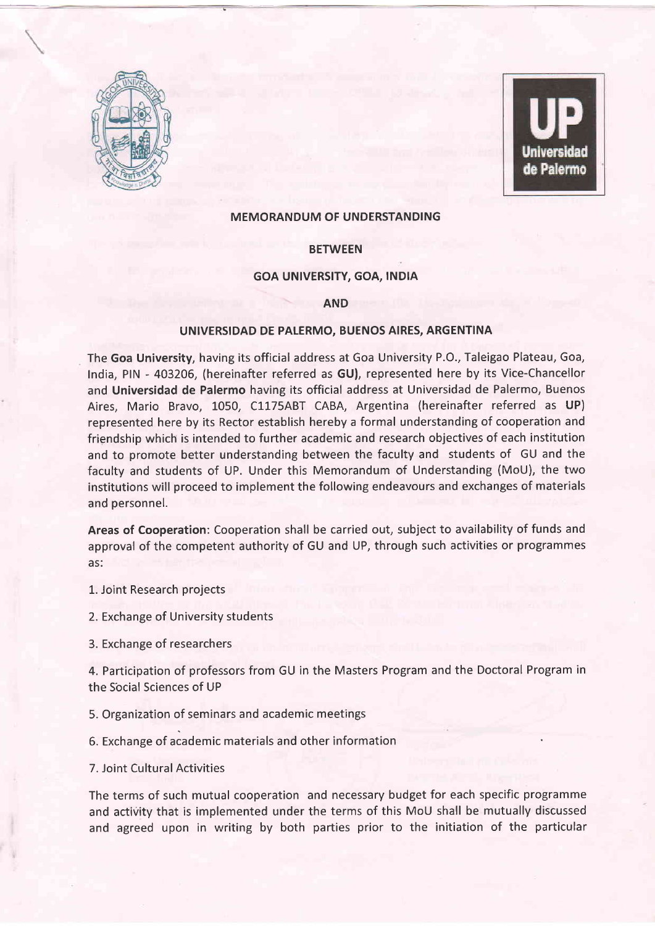

Universidad de Palermo

## MEMORANDUM OF UNDERSTANDING

# **BETWEEN**

### GOA UNIVERSITY, GOA, INDIA

#### AND

### uNlvERslDAD DE PALERMO, BUENOS AIRES, ARGENTINA

The Goa University, having its official address at Goa University P.O., Taleigao Plateau, Goa, India, PIN - 403206, (hereinafter referred as GU), represented here by its Vice-Chancellor and Universidad de Palermo having its official address at Universidad de Palermo, Buenos Aires, Mario Bravo, 1050, C1175ABT CABA, Argentina (hereinafter referred as UP) represented here by its Rector establish hereby a formal understanding of cooperation and friendship which is intended to further academic and research objectives of each institution and to promote better understanding between the faculty and students of GU and the faculty and students of UP. Under this Memorandum of Understanding (MoU), the two institutions will proceed to implement the following endeavours and exchanges of materials and personnel.

Areas of Cooperation: Cooperation shall be carried out, subject to availability of funds and approval of the competent authority of GU and UP, through such activities or programmes as:

1. Joint Research projects

2. Exchange of University students

3. Exchange of researchers

4. Participation of professors from GU in the Masters Program and the Doctoral Program in the Social Sciences of UP

5. Organization of seminars and academic meetings

5. Exchange of academic materials and other information

7. Joint Cultural Activities

The terms of such mutual cooperation and necessary budget for each specific programme and activity that is implemented under the terms of this MoU shall be mutually discussed and agreed upon in writing by both parties prior to the initiation of the particular